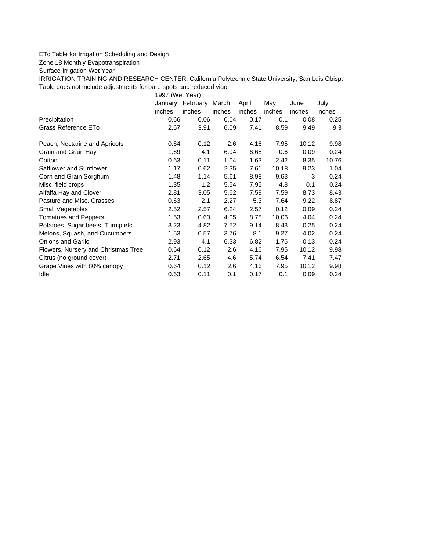## ETc Table for Irrigation Scheduling and Design

Zone 18 Monthly Evapotranspiration

Surface Irrigation Wet Year

IRRIGATION TRAINING AND RESEARCH CENTER, California Polytechnic State University, San Luis Obispo Table does not include adjustments for bare spots and reduced vigor

1997 (Wet Year)

|                                     | January | February | March  | April  | May    | June   | July   |
|-------------------------------------|---------|----------|--------|--------|--------|--------|--------|
|                                     | inches  | inches   | inches | inches | inches | inches | inches |
| Precipitation                       | 0.66    | 0.06     | 0.04   | 0.17   | 0.1    | 0.08   | 0.25   |
| Grass Reference ETo                 | 2.67    | 3.91     | 6.09   | 7.41   | 8.59   | 9.49   | 9.3    |
| Peach, Nectarine and Apricots       | 0.64    | 0.12     | 2.6    | 4.16   | 7.95   | 10.12  | 9.98   |
| Grain and Grain Hay                 | 1.69    | 4.1      | 6.94   | 6.68   | 0.6    | 0.09   | 0.24   |
| Cotton                              | 0.63    | 0.11     | 1.04   | 1.63   | 2.42   | 8.35   | 10.76  |
| Safflower and Sunflower             | 1.17    | 0.62     | 2.35   | 7.61   | 10.18  | 9.23   | 1.04   |
| Corn and Grain Sorghum              | 1.48    | 1.14     | 5.61   | 8.98   | 9.63   | 3      | 0.24   |
| Misc. field crops                   | 1.35    | 1.2      | 5.54   | 7.95   | 4.8    | 0.1    | 0.24   |
| Alfalfa Hay and Clover              | 2.81    | 3.05     | 5.62   | 7.59   | 7.59   | 8.73   | 8.43   |
| Pasture and Misc. Grasses           | 0.63    | 2.1      | 2.27   | 5.3    | 7.64   | 9.22   | 8.87   |
| <b>Small Vegetables</b>             | 2.52    | 2.57     | 6.24   | 2.57   | 0.12   | 0.09   | 0.24   |
| <b>Tomatoes and Peppers</b>         | 1.53    | 0.63     | 4.05   | 8.78   | 10.06  | 4.04   | 0.24   |
| Potatoes, Sugar beets, Turnip etc   | 3.23    | 4.82     | 7.52   | 9.14   | 8.43   | 0.25   | 0.24   |
| Melons, Squash, and Cucumbers       | 1.53    | 0.57     | 3.76   | 8.1    | 9.27   | 4.02   | 0.24   |
| <b>Onions and Garlic</b>            | 2.93    | 4.1      | 6.33   | 6.82   | 1.76   | 0.13   | 0.24   |
| Flowers, Nursery and Christmas Tree | 0.64    | 0.12     | 2.6    | 4.16   | 7.95   | 10.12  | 9.98   |
| Citrus (no ground cover)            | 2.71    | 2.65     | 4.6    | 5.74   | 6.54   | 7.41   | 7.47   |
| Grape Vines with 80% canopy         | 0.64    | 0.12     | 2.6    | 4.16   | 7.95   | 10.12  | 9.98   |
| Idle                                | 0.63    | 0.11     | 0.1    | 0.17   | 0.1    | 0.09   | 0.24   |